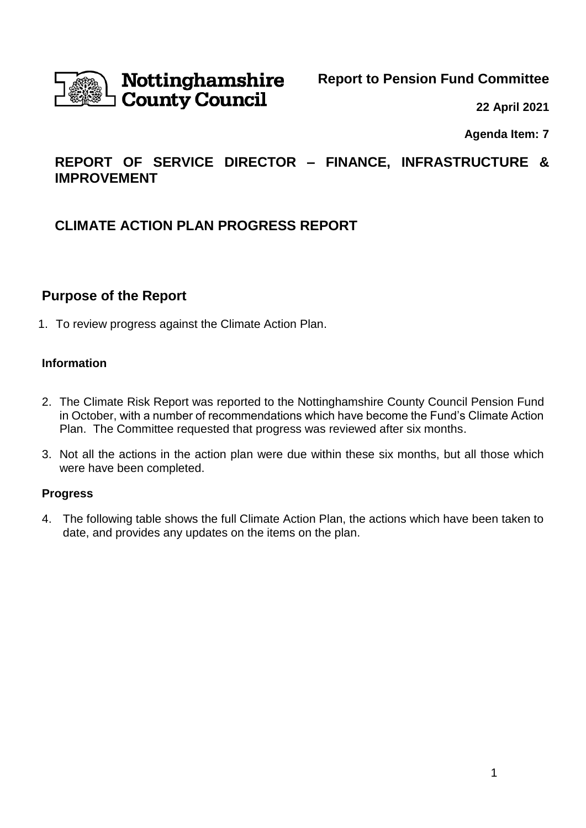

# Nottinghamshire **County Council**

**Report to Pension Fund Committee**

**22 April 2021**

**Agenda Item: 7**

## **REPORT OF SERVICE DIRECTOR – FINANCE, INFRASTRUCTURE & IMPROVEMENT**

## **CLIMATE ACTION PLAN PROGRESS REPORT**

## **Purpose of the Report**

1. To review progress against the Climate Action Plan.

## **Information**

- 2. The Climate Risk Report was reported to the Nottinghamshire County Council Pension Fund in October, with a number of recommendations which have become the Fund's Climate Action Plan. The Committee requested that progress was reviewed after six months.
- 3. Not all the actions in the action plan were due within these six months, but all those which were have been completed.

#### **Progress**

4. The following table shows the full Climate Action Plan, the actions which have been taken to date, and provides any updates on the items on the plan.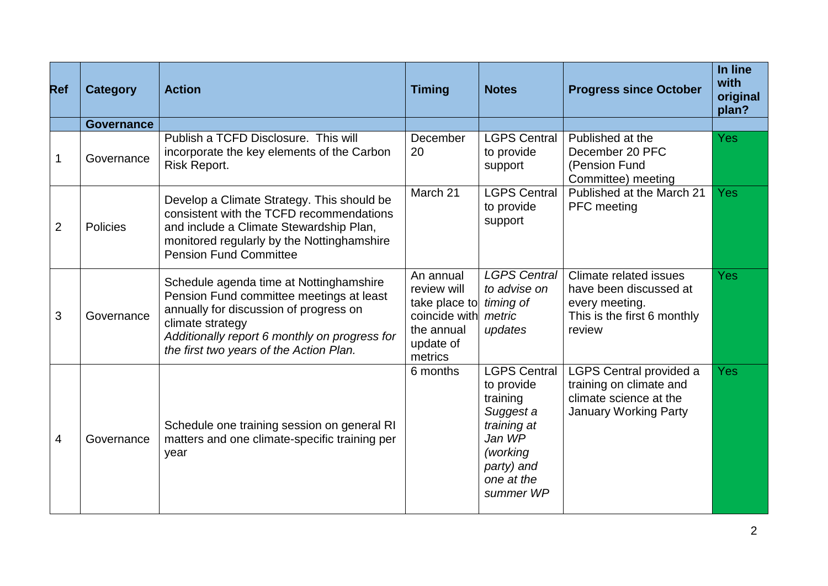| <b>Ref</b>     | <b>Category</b>   | <b>Action</b>                                                                                                                                                                                                                                 | <b>Timing</b>                                                                                    | <b>Notes</b>                                                                                                                             | <b>Progress since October</b>                                                                                       | In line<br>with<br>original<br>plan? |
|----------------|-------------------|-----------------------------------------------------------------------------------------------------------------------------------------------------------------------------------------------------------------------------------------------|--------------------------------------------------------------------------------------------------|------------------------------------------------------------------------------------------------------------------------------------------|---------------------------------------------------------------------------------------------------------------------|--------------------------------------|
|                | <b>Governance</b> |                                                                                                                                                                                                                                               |                                                                                                  |                                                                                                                                          |                                                                                                                     |                                      |
| 1              | Governance        | Publish a TCFD Disclosure. This will<br>incorporate the key elements of the Carbon<br>Risk Report.                                                                                                                                            | December<br>20                                                                                   | <b>LGPS Central</b><br>to provide<br>support                                                                                             | Published at the<br>December 20 PFC<br>(Pension Fund<br>Committee) meeting                                          | <b>Yes</b>                           |
| $\overline{2}$ | <b>Policies</b>   | Develop a Climate Strategy. This should be<br>consistent with the TCFD recommendations<br>and include a Climate Stewardship Plan,<br>monitored regularly by the Nottinghamshire<br><b>Pension Fund Committee</b>                              | March 21                                                                                         | <b>LGPS Central</b><br>to provide<br>support                                                                                             | Published at the March 21<br>PFC meeting                                                                            | Yes                                  |
| 3              | Governance        | Schedule agenda time at Nottinghamshire<br>Pension Fund committee meetings at least<br>annually for discussion of progress on<br>climate strategy<br>Additionally report 6 monthly on progress for<br>the first two years of the Action Plan. | An annual<br>review will<br>take place to<br>coincide with<br>the annual<br>update of<br>metrics | <b>LGPS Central</b><br>to advise on<br>timing of<br>metric<br>updates                                                                    | Climate related issues<br>have been discussed at<br>every meeting.<br>This is the first 6 monthly<br>review         | <b>Yes</b>                           |
| 4              | Governance        | Schedule one training session on general RI<br>matters and one climate-specific training per<br>year                                                                                                                                          | 6 months                                                                                         | <b>LGPS Central</b><br>to provide<br>training<br>Suggest a<br>training at<br>Jan WP<br>(working<br>party) and<br>one at the<br>summer WP | <b>LGPS Central provided a</b><br>training on climate and<br>climate science at the<br><b>January Working Party</b> | Yes                                  |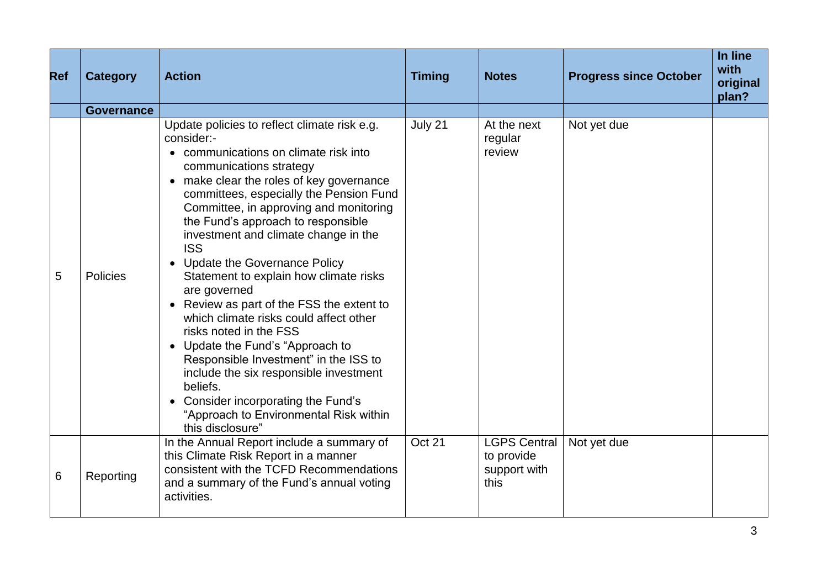| <b>Ref</b> | <b>Category</b>   | <b>Action</b>                                                                                                                                                                                                                                                                                                                                                                                                                                                                                                                                                                                                                                                                                                                                                                                        | <b>Timing</b> | <b>Notes</b>                                              | <b>Progress since October</b> | In line<br>with<br>original<br>plan? |
|------------|-------------------|------------------------------------------------------------------------------------------------------------------------------------------------------------------------------------------------------------------------------------------------------------------------------------------------------------------------------------------------------------------------------------------------------------------------------------------------------------------------------------------------------------------------------------------------------------------------------------------------------------------------------------------------------------------------------------------------------------------------------------------------------------------------------------------------------|---------------|-----------------------------------------------------------|-------------------------------|--------------------------------------|
|            | <b>Governance</b> |                                                                                                                                                                                                                                                                                                                                                                                                                                                                                                                                                                                                                                                                                                                                                                                                      |               |                                                           |                               |                                      |
| 5          | <b>Policies</b>   | Update policies to reflect climate risk e.g.<br>consider:-<br>communications on climate risk into<br>communications strategy<br>make clear the roles of key governance<br>committees, especially the Pension Fund<br>Committee, in approving and monitoring<br>the Fund's approach to responsible<br>investment and climate change in the<br><b>ISS</b><br>Update the Governance Policy<br>Statement to explain how climate risks<br>are governed<br>Review as part of the FSS the extent to<br>which climate risks could affect other<br>risks noted in the FSS<br>Update the Fund's "Approach to<br>Responsible Investment" in the ISS to<br>include the six responsible investment<br>beliefs.<br>Consider incorporating the Fund's<br>"Approach to Environmental Risk within<br>this disclosure" | July 21       | At the next<br>regular<br>review                          | Not yet due                   |                                      |
| 6          | Reporting         | In the Annual Report include a summary of<br>this Climate Risk Report in a manner<br>consistent with the TCFD Recommendations<br>and a summary of the Fund's annual voting<br>activities.                                                                                                                                                                                                                                                                                                                                                                                                                                                                                                                                                                                                            | Oct 21        | <b>LGPS Central</b><br>to provide<br>support with<br>this | Not yet due                   |                                      |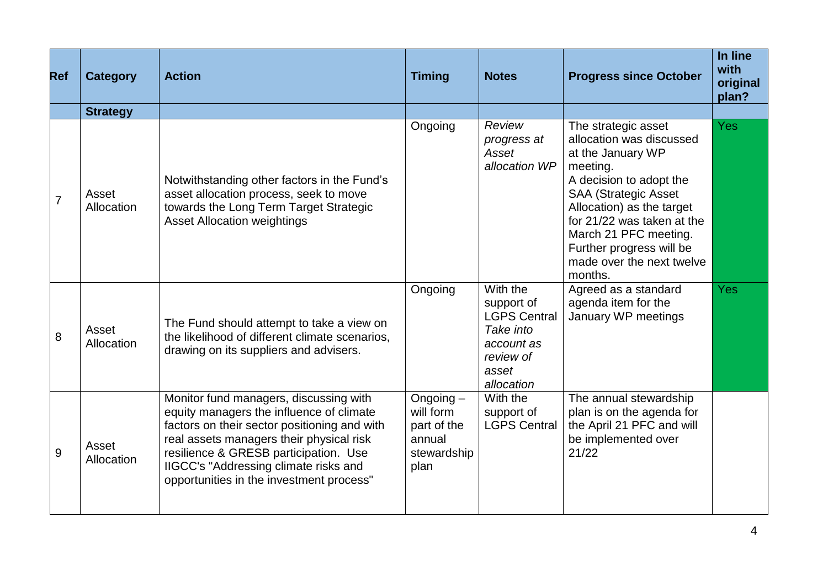| <b>Ref</b>     | <b>Category</b>     | <b>Action</b>                                                                                                                                                                                                                                                                                                | <b>Timing</b>                                                            | <b>Notes</b>                                                                                                 | <b>Progress since October</b>                                                                                                                                                                                                                                                                      | In line<br>with<br>original<br>plan? |
|----------------|---------------------|--------------------------------------------------------------------------------------------------------------------------------------------------------------------------------------------------------------------------------------------------------------------------------------------------------------|--------------------------------------------------------------------------|--------------------------------------------------------------------------------------------------------------|----------------------------------------------------------------------------------------------------------------------------------------------------------------------------------------------------------------------------------------------------------------------------------------------------|--------------------------------------|
|                | <b>Strategy</b>     |                                                                                                                                                                                                                                                                                                              |                                                                          |                                                                                                              |                                                                                                                                                                                                                                                                                                    |                                      |
| $\overline{7}$ | Asset<br>Allocation | Notwithstanding other factors in the Fund's<br>asset allocation process, seek to move<br>towards the Long Term Target Strategic<br><b>Asset Allocation weightings</b>                                                                                                                                        | Ongoing                                                                  | Review<br>progress at<br>Asset<br>allocation WP                                                              | The strategic asset<br>allocation was discussed<br>at the January WP<br>meeting.<br>A decision to adopt the<br><b>SAA (Strategic Asset</b><br>Allocation) as the target<br>for 21/22 was taken at the<br>March 21 PFC meeting.<br>Further progress will be<br>made over the next twelve<br>months. | <b>Yes</b>                           |
| 8              | Asset<br>Allocation | The Fund should attempt to take a view on<br>the likelihood of different climate scenarios,<br>drawing on its suppliers and advisers.                                                                                                                                                                        | Ongoing                                                                  | With the<br>support of<br><b>LGPS Central</b><br>Take into<br>account as<br>review of<br>asset<br>allocation | Agreed as a standard<br>agenda item for the<br>January WP meetings                                                                                                                                                                                                                                 | Yes                                  |
| 9              | Asset<br>Allocation | Monitor fund managers, discussing with<br>equity managers the influence of climate<br>factors on their sector positioning and with<br>real assets managers their physical risk<br>resilience & GRESB participation. Use<br>IIGCC's "Addressing climate risks and<br>opportunities in the investment process" | Ongoing $-$<br>will form<br>part of the<br>annual<br>stewardship<br>plan | With the<br>support of<br><b>LGPS Central</b>                                                                | The annual stewardship<br>plan is on the agenda for<br>the April 21 PFC and will<br>be implemented over<br>21/22                                                                                                                                                                                   |                                      |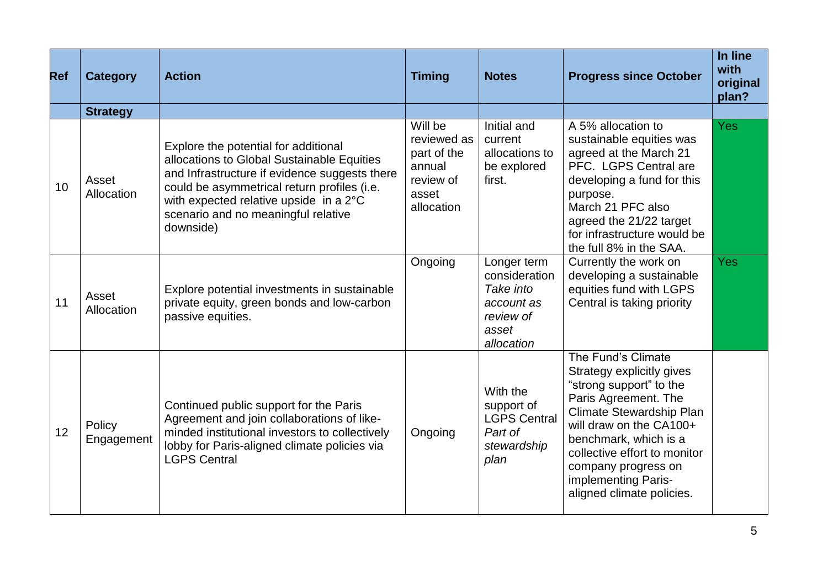| <b>Ref</b> | <b>Category</b>      | <b>Action</b>                                                                                                                                                                                                                                                                    | <b>Timing</b>                                                                       | <b>Notes</b>                                                                                | <b>Progress since October</b>                                                                                                                                                                                                                                                                 | In line<br>with<br>original<br>plan? |
|------------|----------------------|----------------------------------------------------------------------------------------------------------------------------------------------------------------------------------------------------------------------------------------------------------------------------------|-------------------------------------------------------------------------------------|---------------------------------------------------------------------------------------------|-----------------------------------------------------------------------------------------------------------------------------------------------------------------------------------------------------------------------------------------------------------------------------------------------|--------------------------------------|
|            | <b>Strategy</b>      |                                                                                                                                                                                                                                                                                  |                                                                                     |                                                                                             |                                                                                                                                                                                                                                                                                               |                                      |
| 10         | Asset<br>Allocation  | Explore the potential for additional<br>allocations to Global Sustainable Equities<br>and Infrastructure if evidence suggests there<br>could be asymmetrical return profiles (i.e.<br>with expected relative upside in a 2°C<br>scenario and no meaningful relative<br>downside) | Will be<br>reviewed as<br>part of the<br>annual<br>review of<br>asset<br>allocation | Initial and<br>current<br>allocations to<br>be explored<br>first.                           | A 5% allocation to<br>sustainable equities was<br>agreed at the March 21<br>PFC. LGPS Central are<br>developing a fund for this<br>purpose.<br>March 21 PFC also<br>agreed the 21/22 target<br>for infrastructure would be<br>the full 8% in the SAA.                                         | <b>Yes</b>                           |
| 11         | Asset<br>Allocation  | Explore potential investments in sustainable<br>private equity, green bonds and low-carbon<br>passive equities.                                                                                                                                                                  | Ongoing                                                                             | Longer term<br>consideration<br>Take into<br>account as<br>review of<br>asset<br>allocation | Currently the work on<br>developing a sustainable<br>equities fund with LGPS<br>Central is taking priority                                                                                                                                                                                    | <b>Yes</b>                           |
| 12         | Policy<br>Engagement | Continued public support for the Paris<br>Agreement and join collaborations of like-<br>minded institutional investors to collectively<br>lobby for Paris-aligned climate policies via<br><b>LGPS Central</b>                                                                    | Ongoing                                                                             | With the<br>support of<br><b>LGPS Central</b><br>Part of<br>stewardship<br>plan             | The Fund's Climate<br>Strategy explicitly gives<br>"strong support" to the<br>Paris Agreement. The<br>Climate Stewardship Plan<br>will draw on the CA100+<br>benchmark, which is a<br>collective effort to monitor<br>company progress on<br>implementing Paris-<br>aligned climate policies. |                                      |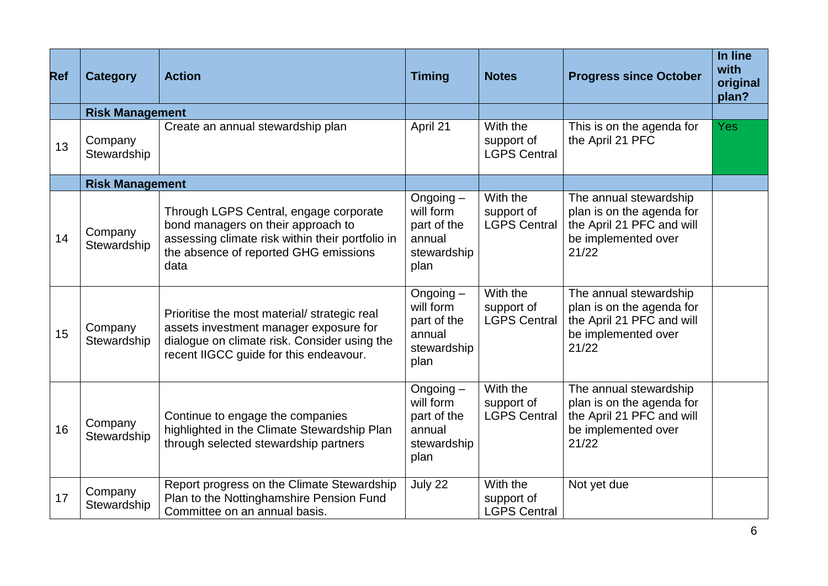| <b>Ref</b> | <b>Category</b>        | <b>Action</b>                                                                                                                                                                     | <b>Timing</b>                                                            | <b>Notes</b>                                  | <b>Progress since October</b>                                                                                    | In line<br>with<br>original<br>plan? |
|------------|------------------------|-----------------------------------------------------------------------------------------------------------------------------------------------------------------------------------|--------------------------------------------------------------------------|-----------------------------------------------|------------------------------------------------------------------------------------------------------------------|--------------------------------------|
|            | <b>Risk Management</b> |                                                                                                                                                                                   |                                                                          |                                               |                                                                                                                  |                                      |
| 13         | Company<br>Stewardship | Create an annual stewardship plan                                                                                                                                                 | April 21                                                                 | With the<br>support of<br><b>LGPS Central</b> | This is on the agenda for<br>the April 21 PFC                                                                    | <b>Yes</b>                           |
|            | <b>Risk Management</b> |                                                                                                                                                                                   |                                                                          |                                               |                                                                                                                  |                                      |
| 14         | Company<br>Stewardship | Through LGPS Central, engage corporate<br>bond managers on their approach to<br>assessing climate risk within their portfolio in<br>the absence of reported GHG emissions<br>data | Ongoing-<br>will form<br>part of the<br>annual<br>stewardship<br>plan    | With the<br>support of<br><b>LGPS Central</b> | The annual stewardship<br>plan is on the agenda for<br>the April 21 PFC and will<br>be implemented over<br>21/22 |                                      |
| 15         | Company<br>Stewardship | Prioritise the most material/strategic real<br>assets investment manager exposure for<br>dialogue on climate risk. Consider using the<br>recent IIGCC guide for this endeavour.   | Ongoing $-$<br>will form<br>part of the<br>annual<br>stewardship<br>plan | With the<br>support of<br><b>LGPS Central</b> | The annual stewardship<br>plan is on the agenda for<br>the April 21 PFC and will<br>be implemented over<br>21/22 |                                      |
| 16         | Company<br>Stewardship | Continue to engage the companies<br>highlighted in the Climate Stewardship Plan<br>through selected stewardship partners                                                          | Ongoing -<br>will form<br>part of the<br>annual<br>stewardship<br>plan   | With the<br>support of<br><b>LGPS Central</b> | The annual stewardship<br>plan is on the agenda for<br>the April 21 PFC and will<br>be implemented over<br>21/22 |                                      |
| 17         | Company<br>Stewardship | Report progress on the Climate Stewardship<br>Plan to the Nottinghamshire Pension Fund<br>Committee on an annual basis.                                                           | July 22                                                                  | With the<br>support of<br><b>LGPS Central</b> | Not yet due                                                                                                      |                                      |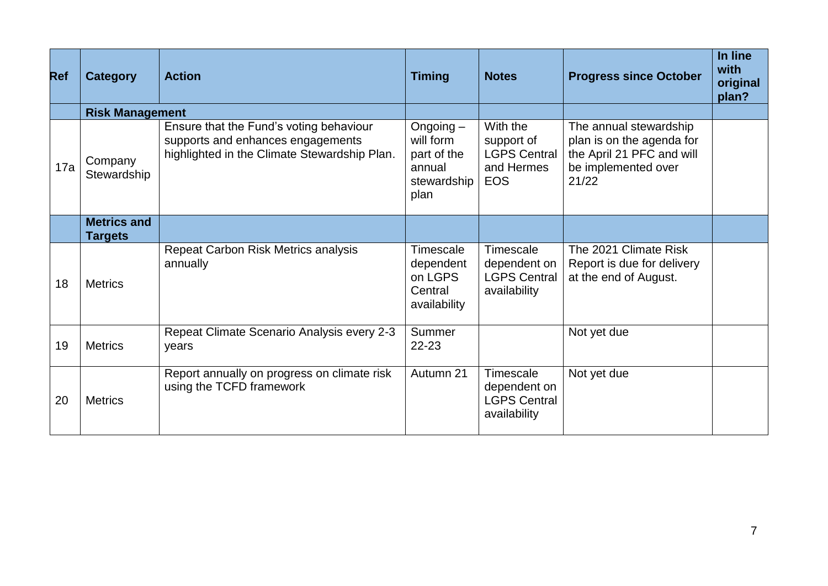| <b>Ref</b> | <b>Category</b>                      | <b>Action</b>                                                                                                                | <b>Timing</b>                                                            | <b>Notes</b>                                                              | <b>Progress since October</b>                                                                                    | In line<br>with<br>original<br>plan? |
|------------|--------------------------------------|------------------------------------------------------------------------------------------------------------------------------|--------------------------------------------------------------------------|---------------------------------------------------------------------------|------------------------------------------------------------------------------------------------------------------|--------------------------------------|
|            | <b>Risk Management</b>               |                                                                                                                              |                                                                          |                                                                           |                                                                                                                  |                                      |
| 17a        | Company<br>Stewardship               | Ensure that the Fund's voting behaviour<br>supports and enhances engagements<br>highlighted in the Climate Stewardship Plan. | Ongoing $-$<br>will form<br>part of the<br>annual<br>stewardship<br>plan | With the<br>support of<br><b>LGPS Central</b><br>and Hermes<br><b>EOS</b> | The annual stewardship<br>plan is on the agenda for<br>the April 21 PFC and will<br>be implemented over<br>21/22 |                                      |
|            | <b>Metrics and</b><br><b>Targets</b> |                                                                                                                              |                                                                          |                                                                           |                                                                                                                  |                                      |
| 18         | <b>Metrics</b>                       | Repeat Carbon Risk Metrics analysis<br>annually                                                                              | Timescale<br>dependent<br>on LGPS<br>Central<br>availability             | Timescale<br>dependent on<br><b>LGPS Central</b><br>availability          | The 2021 Climate Risk<br>Report is due for delivery<br>at the end of August.                                     |                                      |
| 19         | <b>Metrics</b>                       | Repeat Climate Scenario Analysis every 2-3<br>years                                                                          | Summer<br>22-23                                                          |                                                                           | Not yet due                                                                                                      |                                      |
| 20         | <b>Metrics</b>                       | Report annually on progress on climate risk<br>using the TCFD framework                                                      | Autumn 21                                                                | Timescale<br>dependent on<br><b>LGPS Central</b><br>availability          | Not yet due                                                                                                      |                                      |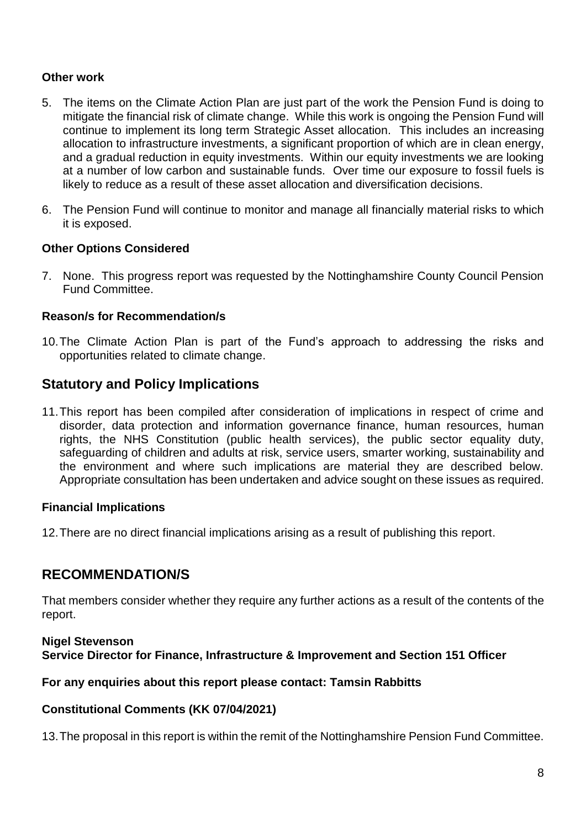#### **Other work**

- 5. The items on the Climate Action Plan are just part of the work the Pension Fund is doing to mitigate the financial risk of climate change. While this work is ongoing the Pension Fund will continue to implement its long term Strategic Asset allocation. This includes an increasing allocation to infrastructure investments, a significant proportion of which are in clean energy, and a gradual reduction in equity investments. Within our equity investments we are looking at a number of low carbon and sustainable funds. Over time our exposure to fossil fuels is likely to reduce as a result of these asset allocation and diversification decisions.
- 6. The Pension Fund will continue to monitor and manage all financially material risks to which it is exposed.

#### **Other Options Considered**

7. None. This progress report was requested by the Nottinghamshire County Council Pension Fund Committee.

#### **Reason/s for Recommendation/s**

10.The Climate Action Plan is part of the Fund's approach to addressing the risks and opportunities related to climate change.

## **Statutory and Policy Implications**

11.This report has been compiled after consideration of implications in respect of crime and disorder, data protection and information governance finance, human resources, human rights, the NHS Constitution (public health services), the public sector equality duty, safeguarding of children and adults at risk, service users, smarter working, sustainability and the environment and where such implications are material they are described below. Appropriate consultation has been undertaken and advice sought on these issues as required.

#### **Financial Implications**

<span id="page-7-0"></span>12.There are no direct financial implications arising as a result of publishing this report.

## **RECOMMENDATION/S**

That members consider whether they require any further actions as a result of the contents of the report.

#### **Nigel Stevenson Service Director for Finance, Infrastructure & Improvement and Section 151 Officer**

#### **For any enquiries about this report please contact: Tamsin Rabbitts**

#### **Constitutional Comments (KK 07/04/2021)**

13.The proposal in this report is within the remit of the Nottinghamshire Pension Fund Committee.